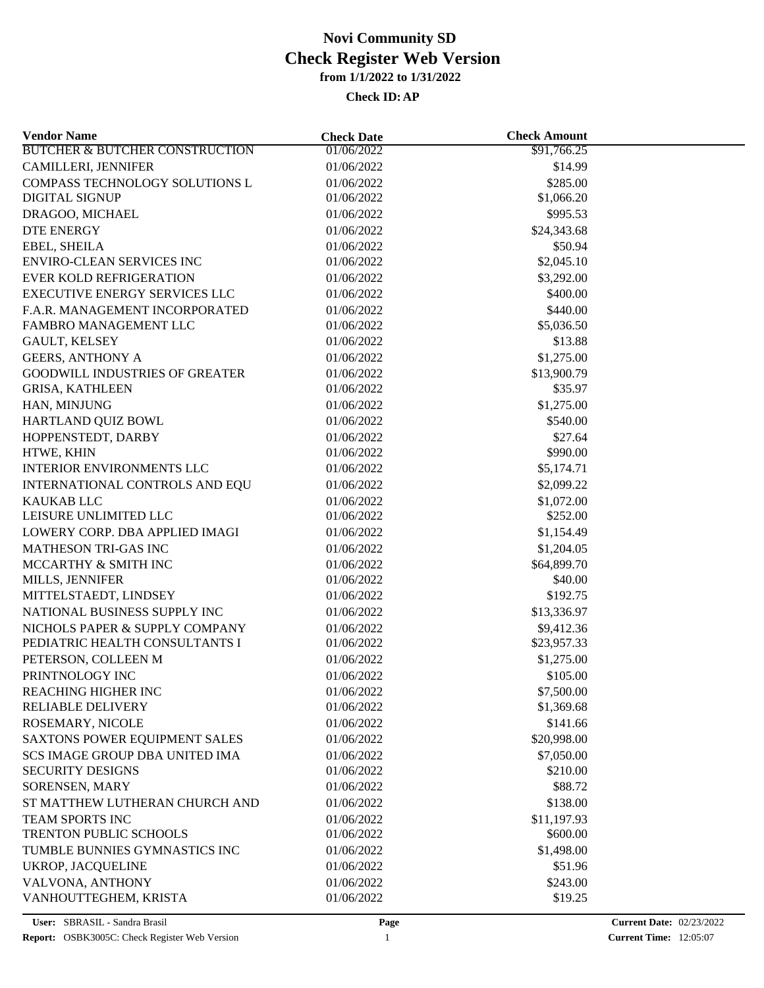| <b>Vendor Name</b>                         | <b>Check Date</b>        | <b>Check Amount</b>    |  |
|--------------------------------------------|--------------------------|------------------------|--|
| <b>BUTCHER &amp; BUTCHER CONSTRUCTION</b>  | 01/06/2022               | \$91,766.25            |  |
| <b>CAMILLERI, JENNIFER</b>                 | 01/06/2022               | \$14.99                |  |
| COMPASS TECHNOLOGY SOLUTIONS L             | 01/06/2022               | \$285.00               |  |
| <b>DIGITAL SIGNUP</b>                      | 01/06/2022               | \$1,066.20             |  |
| DRAGOO, MICHAEL                            | 01/06/2022               | \$995.53               |  |
| <b>DTE ENERGY</b>                          | 01/06/2022               | \$24,343.68            |  |
| EBEL, SHEILA                               | 01/06/2022               | \$50.94                |  |
| <b>ENVIRO-CLEAN SERVICES INC</b>           | 01/06/2022               | \$2,045.10             |  |
| <b>EVER KOLD REFRIGERATION</b>             | 01/06/2022               | \$3,292.00             |  |
| <b>EXECUTIVE ENERGY SERVICES LLC</b>       | 01/06/2022               | \$400.00               |  |
| F.A.R. MANAGEMENT INCORPORATED             | 01/06/2022               | \$440.00               |  |
| FAMBRO MANAGEMENT LLC                      | 01/06/2022               | \$5,036.50             |  |
| GAULT, KELSEY                              | 01/06/2022               | \$13.88                |  |
| <b>GEERS, ANTHONY A</b>                    | 01/06/2022               | \$1,275.00             |  |
| <b>GOODWILL INDUSTRIES OF GREATER</b>      | 01/06/2022               | \$13,900.79            |  |
| <b>GRISA, KATHLEEN</b>                     | 01/06/2022               | \$35.97                |  |
| HAN, MINJUNG                               | 01/06/2022               | \$1,275.00             |  |
| HARTLAND QUIZ BOWL                         | 01/06/2022               | \$540.00               |  |
| HOPPENSTEDT, DARBY                         | 01/06/2022               | \$27.64                |  |
| HTWE, KHIN                                 | 01/06/2022               | \$990.00               |  |
| <b>INTERIOR ENVIRONMENTS LLC</b>           | 01/06/2022               | \$5,174.71             |  |
| INTERNATIONAL CONTROLS AND EQU             | 01/06/2022               | \$2,099.22             |  |
|                                            |                          |                        |  |
| <b>KAUKAB LLC</b><br>LEISURE UNLIMITED LLC | 01/06/2022<br>01/06/2022 | \$1,072.00<br>\$252.00 |  |
|                                            |                          |                        |  |
| LOWERY CORP. DBA APPLIED IMAGI             | 01/06/2022               | \$1,154.49             |  |
| MATHESON TRI-GAS INC                       | 01/06/2022               | \$1,204.05             |  |
| MCCARTHY & SMITH INC                       | 01/06/2022               | \$64,899.70            |  |
| MILLS, JENNIFER                            | 01/06/2022               | \$40.00                |  |
| MITTELSTAEDT, LINDSEY                      | 01/06/2022               | \$192.75               |  |
| NATIONAL BUSINESS SUPPLY INC               | 01/06/2022               | \$13,336.97            |  |
| NICHOLS PAPER & SUPPLY COMPANY             | 01/06/2022               | \$9,412.36             |  |
| PEDIATRIC HEALTH CONSULTANTS I             | 01/06/2022               | \$23,957.33            |  |
| PETERSON, COLLEEN M                        | 01/06/2022               | \$1,275.00             |  |
| PRINTNOLOGY INC                            | 01/06/2022               | \$105.00               |  |
| REACHING HIGHER INC                        | 01/06/2022               | \$7,500.00             |  |
| RELIABLE DELIVERY                          | 01/06/2022               | \$1,369.68             |  |
| ROSEMARY, NICOLE                           | 01/06/2022               | \$141.66               |  |
| SAXTONS POWER EQUIPMENT SALES              | 01/06/2022               | \$20,998.00            |  |
| SCS IMAGE GROUP DBA UNITED IMA             | 01/06/2022               | \$7,050.00             |  |
| <b>SECURITY DESIGNS</b>                    | 01/06/2022               | \$210.00               |  |
| SORENSEN, MARY                             | 01/06/2022               | \$88.72                |  |
| ST MATTHEW LUTHERAN CHURCH AND             | 01/06/2022               | \$138.00               |  |
| TEAM SPORTS INC                            | 01/06/2022               | \$11,197.93            |  |
| TRENTON PUBLIC SCHOOLS                     | 01/06/2022               | \$600.00               |  |
| TUMBLE BUNNIES GYMNASTICS INC              | 01/06/2022               | \$1,498.00             |  |
| <b>UKROP, JACQUELINE</b>                   | 01/06/2022               | \$51.96                |  |
| VALVONA, ANTHONY                           | 01/06/2022               | \$243.00               |  |
| VANHOUTTEGHEM, KRISTA                      | 01/06/2022               | \$19.25                |  |
|                                            |                          |                        |  |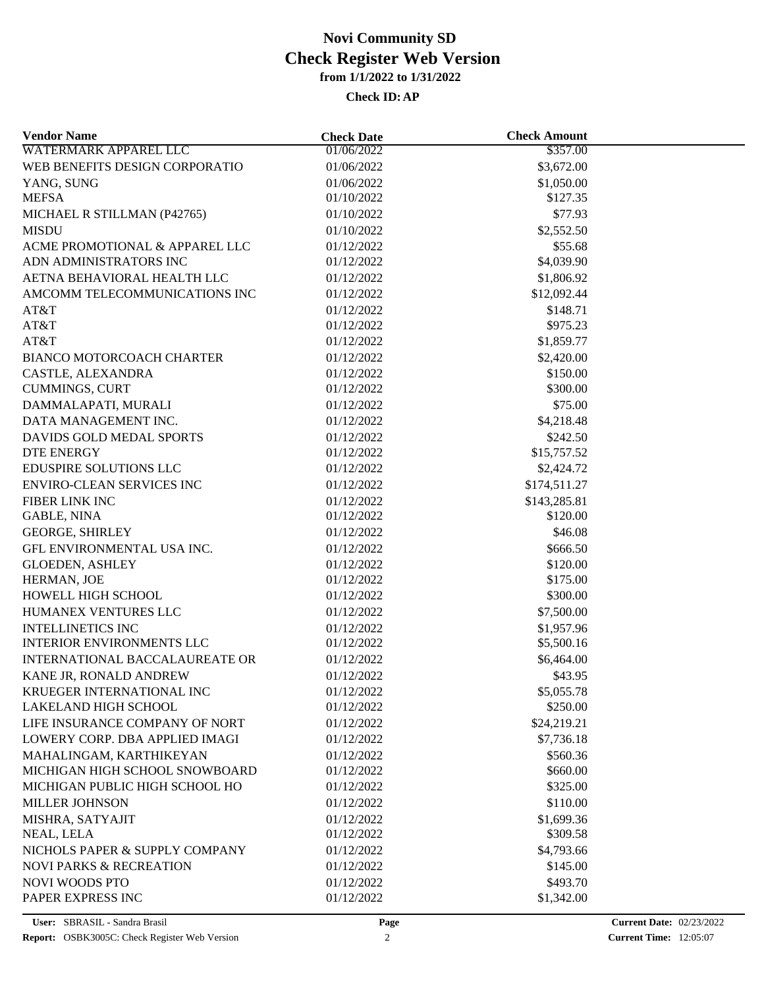| <b>Vendor Name</b>                 | <b>Check Date</b> | <b>Check Amount</b> |  |
|------------------------------------|-------------------|---------------------|--|
| <b>WATERMARK APPAREL LLC</b>       | 01/06/2022        | \$357.00            |  |
| WEB BENEFITS DESIGN CORPORATIO     | 01/06/2022        | \$3,672.00          |  |
| YANG, SUNG                         | 01/06/2022        | \$1,050.00          |  |
| <b>MEFSA</b>                       | 01/10/2022        | \$127.35            |  |
| MICHAEL R STILLMAN (P42765)        | 01/10/2022        | \$77.93             |  |
| <b>MISDU</b>                       | 01/10/2022        | \$2,552.50          |  |
| ACME PROMOTIONAL & APPAREL LLC     | 01/12/2022        | \$55.68             |  |
| ADN ADMINISTRATORS INC             | 01/12/2022        | \$4,039.90          |  |
| AETNA BEHAVIORAL HEALTH LLC        | 01/12/2022        | \$1,806.92          |  |
| AMCOMM TELECOMMUNICATIONS INC      | 01/12/2022        | \$12,092.44         |  |
| AT&T                               | 01/12/2022        | \$148.71            |  |
| AT&T                               | 01/12/2022        | \$975.23            |  |
| AT&T                               | 01/12/2022        | \$1,859.77          |  |
| <b>BIANCO MOTORCOACH CHARTER</b>   | 01/12/2022        | \$2,420.00          |  |
| CASTLE, ALEXANDRA                  | 01/12/2022        | \$150.00            |  |
| <b>CUMMINGS, CURT</b>              | 01/12/2022        | \$300.00            |  |
| DAMMALAPATI, MURALI                | 01/12/2022        | \$75.00             |  |
| DATA MANAGEMENT INC.               | 01/12/2022        | \$4,218.48          |  |
| DAVIDS GOLD MEDAL SPORTS           | 01/12/2022        | \$242.50            |  |
| <b>DTE ENERGY</b>                  | 01/12/2022        | \$15,757.52         |  |
| EDUSPIRE SOLUTIONS LLC             | 01/12/2022        | \$2,424.72          |  |
| <b>ENVIRO-CLEAN SERVICES INC</b>   | 01/12/2022        | \$174,511.27        |  |
| FIBER LINK INC                     | 01/12/2022        | \$143,285.81        |  |
| <b>GABLE, NINA</b>                 | 01/12/2022        | \$120.00            |  |
| <b>GEORGE, SHIRLEY</b>             | 01/12/2022        | \$46.08             |  |
| GFL ENVIRONMENTAL USA INC.         | 01/12/2022        | \$666.50            |  |
| <b>GLOEDEN, ASHLEY</b>             | 01/12/2022        | \$120.00            |  |
| HERMAN, JOE                        | 01/12/2022        | \$175.00            |  |
| HOWELL HIGH SCHOOL                 | 01/12/2022        | \$300.00            |  |
| HUMANEX VENTURES LLC               | 01/12/2022        | \$7,500.00          |  |
| <b>INTELLINETICS INC</b>           | 01/12/2022        | \$1,957.96          |  |
| <b>INTERIOR ENVIRONMENTS LLC</b>   | 01/12/2022        | \$5,500.16          |  |
| INTERNATIONAL BACCALAUREATE OR     | 01/12/2022        | \$6,464.00          |  |
| KANE JR, RONALD ANDREW             | 01/12/2022        | \$43.95             |  |
| KRUEGER INTERNATIONAL INC          | 01/12/2022        | \$5,055.78          |  |
| LAKELAND HIGH SCHOOL               | 01/12/2022        | \$250.00            |  |
| LIFE INSURANCE COMPANY OF NORT     | 01/12/2022        | \$24,219.21         |  |
| LOWERY CORP. DBA APPLIED IMAGI     | 01/12/2022        | \$7,736.18          |  |
| MAHALINGAM, KARTHIKEYAN            | 01/12/2022        | \$560.36            |  |
| MICHIGAN HIGH SCHOOL SNOWBOARD     | 01/12/2022        | \$660.00            |  |
| MICHIGAN PUBLIC HIGH SCHOOL HO     | 01/12/2022        | \$325.00            |  |
| <b>MILLER JOHNSON</b>              | 01/12/2022        | \$110.00            |  |
| MISHRA, SATYAJIT                   | 01/12/2022        | \$1,699.36          |  |
| NEAL, LELA                         | 01/12/2022        | \$309.58            |  |
| NICHOLS PAPER & SUPPLY COMPANY     | 01/12/2022        | \$4,793.66          |  |
| <b>NOVI PARKS &amp; RECREATION</b> | 01/12/2022        | \$145.00            |  |
| <b>NOVI WOODS PTO</b>              | 01/12/2022        | \$493.70            |  |
| PAPER EXPRESS INC                  | 01/12/2022        | \$1,342.00          |  |
|                                    |                   |                     |  |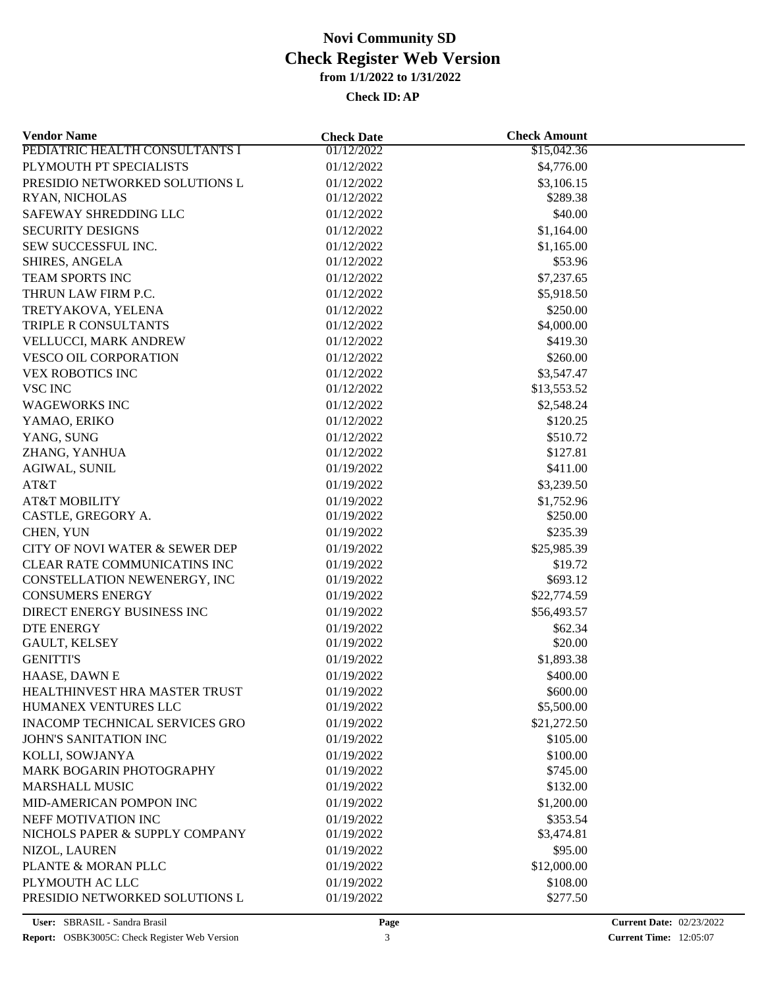| <b>Vendor Name</b>                    | <b>Check Date</b> | <b>Check Amount</b> |  |
|---------------------------------------|-------------------|---------------------|--|
| PEDIATRIC HEALTH CONSULTANTS I        | 01/12/2022        | \$15,042.36         |  |
| PLYMOUTH PT SPECIALISTS               | 01/12/2022        | \$4,776.00          |  |
| PRESIDIO NETWORKED SOLUTIONS L        | 01/12/2022        | \$3,106.15          |  |
| RYAN, NICHOLAS                        | 01/12/2022        | \$289.38            |  |
| SAFEWAY SHREDDING LLC                 | 01/12/2022        | \$40.00             |  |
| <b>SECURITY DESIGNS</b>               | 01/12/2022        | \$1,164.00          |  |
| SEW SUCCESSFUL INC.                   | 01/12/2022        | \$1,165.00          |  |
| SHIRES, ANGELA                        | 01/12/2022        | \$53.96             |  |
| TEAM SPORTS INC                       | 01/12/2022        | \$7,237.65          |  |
| THRUN LAW FIRM P.C.                   | 01/12/2022        | \$5,918.50          |  |
| TRETYAKOVA, YELENA                    | 01/12/2022        | \$250.00            |  |
| TRIPLE R CONSULTANTS                  | 01/12/2022        | \$4,000.00          |  |
| VELLUCCI, MARK ANDREW                 | 01/12/2022        | \$419.30            |  |
| VESCO OIL CORPORATION                 | 01/12/2022        | \$260.00            |  |
| <b>VEX ROBOTICS INC</b>               | 01/12/2022        | \$3,547.47          |  |
| <b>VSC INC</b>                        | 01/12/2022        | \$13,553.52         |  |
| <b>WAGEWORKS INC</b>                  | 01/12/2022        | \$2,548.24          |  |
| YAMAO, ERIKO                          | 01/12/2022        | \$120.25            |  |
| YANG, SUNG                            | 01/12/2022        | \$510.72            |  |
| ZHANG, YANHUA                         | 01/12/2022        | \$127.81            |  |
| <b>AGIWAL, SUNIL</b>                  | 01/19/2022        | \$411.00            |  |
| AT&T                                  |                   | \$3,239.50          |  |
|                                       | 01/19/2022        |                     |  |
| <b>AT&amp;T MOBILITY</b>              | 01/19/2022        | \$1,752.96          |  |
| CASTLE, GREGORY A.                    | 01/19/2022        | \$250.00            |  |
| CHEN, YUN                             | 01/19/2022        | \$235.39            |  |
| CITY OF NOVI WATER & SEWER DEP        | 01/19/2022        | \$25,985.39         |  |
| CLEAR RATE COMMUNICATINS INC          | 01/19/2022        | \$19.72             |  |
| CONSTELLATION NEWENERGY, INC          | 01/19/2022        | \$693.12            |  |
| <b>CONSUMERS ENERGY</b>               | 01/19/2022        | \$22,774.59         |  |
| DIRECT ENERGY BUSINESS INC            | 01/19/2022        | \$56,493.57         |  |
| <b>DTE ENERGY</b>                     | 01/19/2022        | \$62.34             |  |
| GAULT, KELSEY                         | 01/19/2022        | \$20.00             |  |
| <b>GENITTI'S</b>                      | 01/19/2022        | \$1,893.38          |  |
| HAASE, DAWN E                         | 01/19/2022        | \$400.00            |  |
| HEALTHINVEST HRA MASTER TRUST         | 01/19/2022        | \$600.00            |  |
| HUMANEX VENTURES LLC                  | 01/19/2022        | \$5,500.00          |  |
| <b>INACOMP TECHNICAL SERVICES GRO</b> | 01/19/2022        | \$21,272.50         |  |
| <b>JOHN'S SANITATION INC</b>          | 01/19/2022        | \$105.00            |  |
| KOLLI, SOWJANYA                       | 01/19/2022        | \$100.00            |  |
| MARK BOGARIN PHOTOGRAPHY              | 01/19/2022        | \$745.00            |  |
| <b>MARSHALL MUSIC</b>                 | 01/19/2022        | \$132.00            |  |
| MID-AMERICAN POMPON INC               | 01/19/2022        | \$1,200.00          |  |
| NEFF MOTIVATION INC                   | 01/19/2022        | \$353.54            |  |
| NICHOLS PAPER & SUPPLY COMPANY        | 01/19/2022        | \$3,474.81          |  |
| NIZOL, LAUREN                         | 01/19/2022        | \$95.00             |  |
| PLANTE & MORAN PLLC                   | 01/19/2022        | \$12,000.00         |  |
| PLYMOUTH AC LLC                       | 01/19/2022        | \$108.00            |  |
| PRESIDIO NETWORKED SOLUTIONS L        | 01/19/2022        | \$277.50            |  |
|                                       |                   |                     |  |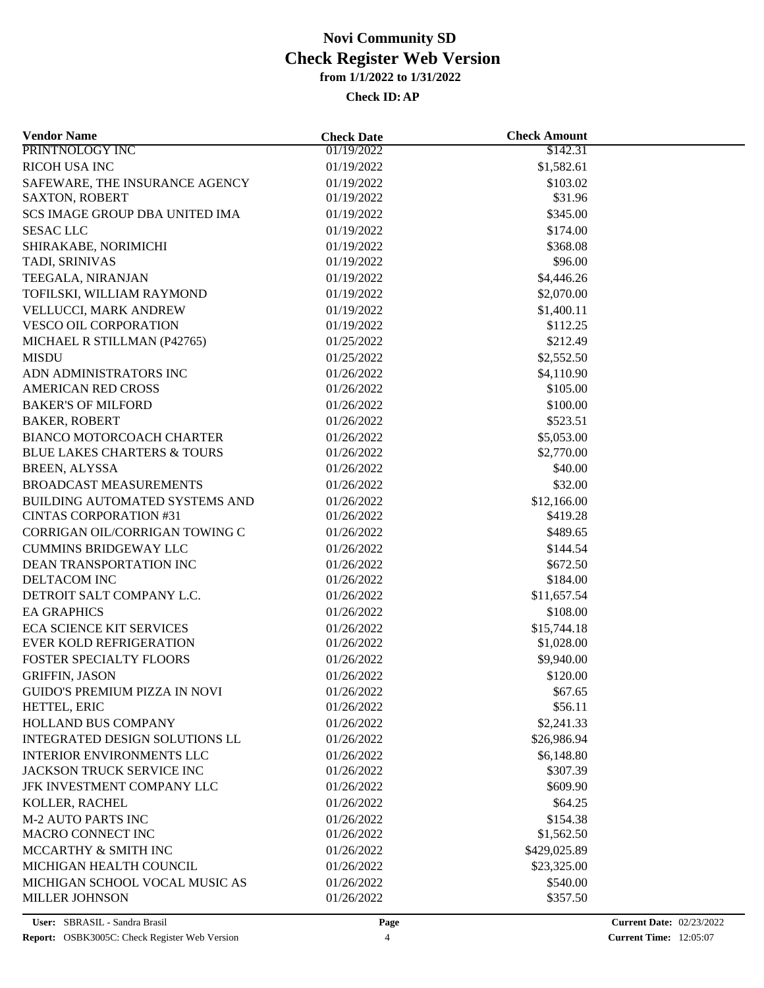| <b>Vendor Name</b>               | <b>Check Date</b> | <b>Check Amount</b> |  |
|----------------------------------|-------------------|---------------------|--|
| PRINTNOLOGY INC                  | 01/19/2022        | \$142.31            |  |
| RICOH USA INC                    | 01/19/2022        | \$1,582.61          |  |
| SAFEWARE, THE INSURANCE AGENCY   | 01/19/2022        | \$103.02            |  |
| <b>SAXTON, ROBERT</b>            | 01/19/2022        | \$31.96             |  |
| SCS IMAGE GROUP DBA UNITED IMA   | 01/19/2022        | \$345.00            |  |
| <b>SESAC LLC</b>                 | 01/19/2022        | \$174.00            |  |
| SHIRAKABE, NORIMICHI             | 01/19/2022        | \$368.08            |  |
| TADI, SRINIVAS                   | 01/19/2022        | \$96.00             |  |
| TEEGALA, NIRANJAN                | 01/19/2022        | \$4,446.26          |  |
| TOFILSKI, WILLIAM RAYMOND        | 01/19/2022        | \$2,070.00          |  |
| VELLUCCI, MARK ANDREW            | 01/19/2022        | \$1,400.11          |  |
| VESCO OIL CORPORATION            | 01/19/2022        | \$112.25            |  |
| MICHAEL R STILLMAN (P42765)      | 01/25/2022        | \$212.49            |  |
| <b>MISDU</b>                     | 01/25/2022        | \$2,552.50          |  |
| ADN ADMINISTRATORS INC           | 01/26/2022        | \$4,110.90          |  |
| AMERICAN RED CROSS               | 01/26/2022        | \$105.00            |  |
| <b>BAKER'S OF MILFORD</b>        | 01/26/2022        | \$100.00            |  |
| <b>BAKER, ROBERT</b>             | 01/26/2022        | \$523.51            |  |
| BIANCO MOTORCOACH CHARTER        | 01/26/2022        | \$5,053.00          |  |
| BLUE LAKES CHARTERS & TOURS      | 01/26/2022        | \$2,770.00          |  |
| <b>BREEN, ALYSSA</b>             | 01/26/2022        | \$40.00             |  |
| BROADCAST MEASUREMENTS           |                   | \$32.00             |  |
|                                  | 01/26/2022        |                     |  |
| BUILDING AUTOMATED SYSTEMS AND   | 01/26/2022        | \$12,166.00         |  |
| <b>CINTAS CORPORATION #31</b>    | 01/26/2022        | \$419.28            |  |
| CORRIGAN OIL/CORRIGAN TOWING C   | 01/26/2022        | \$489.65            |  |
| <b>CUMMINS BRIDGEWAY LLC</b>     | 01/26/2022        | \$144.54            |  |
| DEAN TRANSPORTATION INC          | 01/26/2022        | \$672.50            |  |
| DELTACOM INC                     | 01/26/2022        | \$184.00            |  |
| DETROIT SALT COMPANY L.C.        | 01/26/2022        | \$11,657.54         |  |
| <b>EA GRAPHICS</b>               | 01/26/2022        | \$108.00            |  |
| <b>ECA SCIENCE KIT SERVICES</b>  | 01/26/2022        | \$15,744.18         |  |
| EVER KOLD REFRIGERATION          | 01/26/2022        | \$1,028.00          |  |
| FOSTER SPECIALTY FLOORS          | 01/26/2022        | \$9,940.00          |  |
| <b>GRIFFIN, JASON</b>            | 01/26/2022        | \$120.00            |  |
| GUIDO'S PREMIUM PIZZA IN NOVI    | 01/26/2022        | \$67.65             |  |
| HETTEL, ERIC                     | 01/26/2022        | \$56.11             |  |
| HOLLAND BUS COMPANY              | 01/26/2022        | \$2,241.33          |  |
| INTEGRATED DESIGN SOLUTIONS LL   | 01/26/2022        | \$26,986.94         |  |
| <b>INTERIOR ENVIRONMENTS LLC</b> | 01/26/2022        | \$6,148.80          |  |
| JACKSON TRUCK SERVICE INC        | 01/26/2022        | \$307.39            |  |
| JFK INVESTMENT COMPANY LLC       | 01/26/2022        | \$609.90            |  |
| KOLLER, RACHEL                   | 01/26/2022        | \$64.25             |  |
| <b>M-2 AUTO PARTS INC</b>        | 01/26/2022        | \$154.38            |  |
| MACRO CONNECT INC                | 01/26/2022        | \$1,562.50          |  |
| MCCARTHY & SMITH INC             | 01/26/2022        | \$429,025.89        |  |
| MICHIGAN HEALTH COUNCIL          | 01/26/2022        | \$23,325.00         |  |
| MICHIGAN SCHOOL VOCAL MUSIC AS   | 01/26/2022        | \$540.00            |  |
| <b>MILLER JOHNSON</b>            | 01/26/2022        | \$357.50            |  |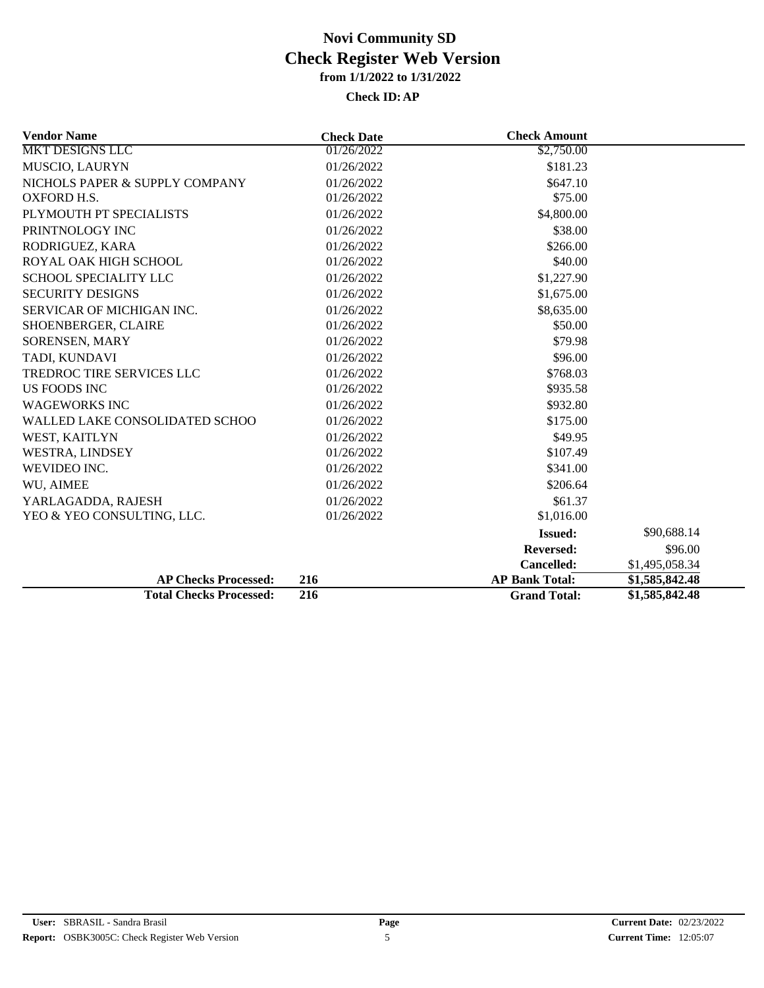| <b>Vendor Name</b>               | <b>Check Date</b> | <b>Check Amount</b>   |                |
|----------------------------------|-------------------|-----------------------|----------------|
| <b>MKT DESIGNS LLC</b>           | 01/26/2022        | \$2,750.00            |                |
| MUSCIO, LAURYN                   | 01/26/2022        | \$181.23              |                |
| NICHOLS PAPER & SUPPLY COMPANY   | 01/26/2022        | \$647.10              |                |
| <b>OXFORD H.S.</b>               | 01/26/2022        | \$75.00               |                |
| PLYMOUTH PT SPECIALISTS          | 01/26/2022        | \$4,800.00            |                |
| PRINTNOLOGY INC                  | 01/26/2022        | \$38.00               |                |
| RODRIGUEZ, KARA                  | 01/26/2022        | \$266.00              |                |
| ROYAL OAK HIGH SCHOOL            | 01/26/2022        | \$40.00               |                |
| SCHOOL SPECIALITY LLC            | 01/26/2022        | \$1,227.90            |                |
| <b>SECURITY DESIGNS</b>          | 01/26/2022        | \$1,675.00            |                |
| SERVICAR OF MICHIGAN INC.        | 01/26/2022        | \$8,635.00            |                |
| SHOENBERGER, CLAIRE              | 01/26/2022        | \$50.00               |                |
| <b>SORENSEN, MARY</b>            | 01/26/2022        | \$79.98               |                |
| TADI, KUNDAVI                    | 01/26/2022        | \$96.00               |                |
| <b>TREDROC TIRE SERVICES LLC</b> | 01/26/2022        | \$768.03              |                |
| US FOODS INC                     | 01/26/2022        | \$935.58              |                |
| <b>WAGEWORKS INC</b>             | 01/26/2022        | \$932.80              |                |
| WALLED LAKE CONSOLIDATED SCHOO   | 01/26/2022        | \$175.00              |                |
| WEST, KAITLYN                    | 01/26/2022        | \$49.95               |                |
| WESTRA, LINDSEY                  | 01/26/2022        | \$107.49              |                |
| WEVIDEO INC.                     | 01/26/2022        | \$341.00              |                |
| WU, AIMEE                        | 01/26/2022        | \$206.64              |                |
| YARLAGADDA, RAJESH               | 01/26/2022        | \$61.37               |                |
| YEO & YEO CONSULTING, LLC.       | 01/26/2022        | \$1,016.00            |                |
|                                  |                   | <b>Issued:</b>        | \$90,688.14    |
|                                  |                   | <b>Reversed:</b>      | \$96.00        |
|                                  |                   | Cancelled:            | \$1,495,058.34 |
| <b>AP Checks Processed:</b>      | 216               | <b>AP Bank Total:</b> | \$1,585,842.48 |
| <b>Total Checks Processed:</b>   | 216               | <b>Grand Total:</b>   | \$1,585,842.48 |